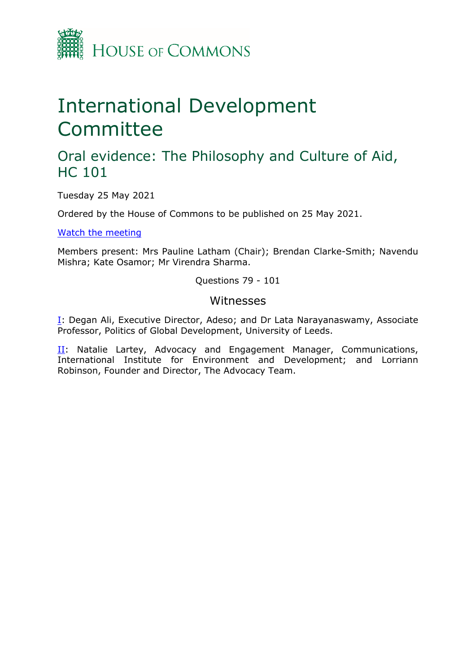

# International Development **Committee**

## Oral evidence: The Philosophy and Culture of Aid, HC 101

Tuesday 25 May 2021

Ordered by the House of Commons to be published on 25 May 2021.

[Watch](https://parliamentlive.tv/Event/Index/38a0c9b0-adc7-48c8-ab19-2abf60b3e662) [the](https://parliamentlive.tv/Event/Index/38a0c9b0-adc7-48c8-ab19-2abf60b3e662) [meeting](https://parliamentlive.tv/Event/Index/38a0c9b0-adc7-48c8-ab19-2abf60b3e662)

Members present: Mrs Pauline Latham (Chair); Brendan Clarke-Smith; Navendu Mishra; Kate Osamor; Mr Virendra Sharma.

Questions 79 - 101

#### Witnesses

[I:](#page-1-0) Degan Ali, Executive Director, Adeso; and Dr Lata Narayanaswamy, Associate Professor, Politics of Global Development, University of Leeds.

[II](#page-12-0): Natalie Lartey, Advocacy and Engagement Manager, Communications, International Institute for Environment and Development; and Lorriann Robinson, Founder and Director, The Advocacy Team.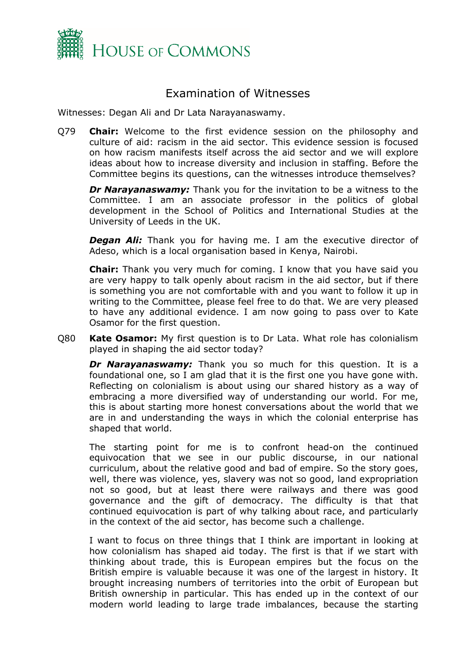

### <span id="page-1-0"></span>Examination of Witnesses

Witnesses: Degan Ali and Dr Lata Narayanaswamy.

Q79 **Chair:** Welcome to the first evidence session on the philosophy and culture of aid: racism in the aid sector. This evidence session is focused on how racism manifests itself across the aid sector and we will explore ideas about how to increase diversity and inclusion in staffing. Before the Committee begins its questions, can the witnesses introduce themselves?

*Dr Narayanaswamy:* Thank you for the invitation to be a witness to the Committee. I am an associate professor in the politics of global development in the School of Politics and International Studies at the University of Leeds in the UK.

*Degan Ali:* Thank you for having me. I am the executive director of Adeso, which is a local organisation based in Kenya, Nairobi.

**Chair:** Thank you very much for coming. I know that you have said you are very happy to talk openly about racism in the aid sector, but if there is something you are not comfortable with and you want to follow it up in writing to the Committee, please feel free to do that. We are very pleased to have any additional evidence. I am now going to pass over to Kate Osamor for the first question.

Q80 **Kate Osamor:** My first question is to Dr Lata. What role has colonialism played in shaping the aid sector today?

*Dr Narayanaswamy:* Thank you so much for this question. It is a foundational one, so I am glad that it is the first one you have gone with. Reflecting on colonialism is about using our shared history as a way of embracing a more diversified way of understanding our world. For me, this is about starting more honest conversations about the world that we are in and understanding the ways in which the colonial enterprise has shaped that world.

The starting point for me is to confront head-on the continued equivocation that we see in our public discourse, in our national curriculum, about the relative good and bad of empire. So the story goes, well, there was violence, yes, slavery was not so good, land expropriation not so good, but at least there were railways and there was good governance and the gift of democracy. The difficulty is that that continued equivocation is part of why talking about race, and particularly in the context of the aid sector, has become such a challenge.

I want to focus on three things that I think are important in looking at how colonialism has shaped aid today. The first is that if we start with thinking about trade, this is European empires but the focus on the British empire is valuable because it was one of the largest in history. It brought increasing numbers of territories into the orbit of European but British ownership in particular. This has ended up in the context of our modern world leading to large trade imbalances, because the starting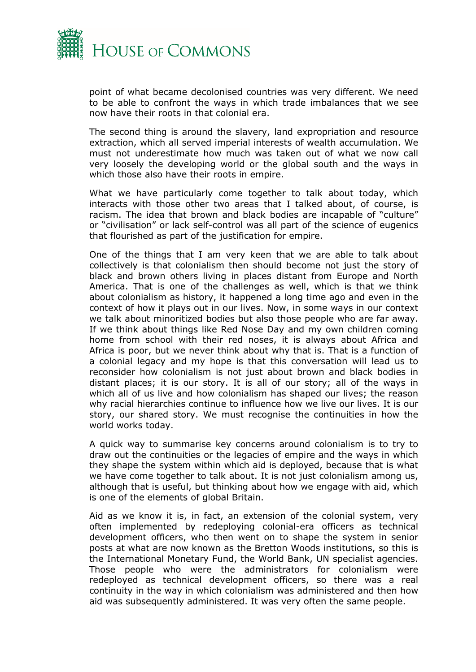

point of what became decolonised countries was very different. We need to be able to confront the ways in which trade imbalances that we see now have their roots in that colonial era.

The second thing is around the slavery, land expropriation and resource extraction, which all served imperial interests of wealth accumulation. We must not underestimate how much was taken out of what we now call very loosely the developing world or the global south and the ways in which those also have their roots in empire.

What we have particularly come together to talk about today, which interacts with those other two areas that I talked about, of course, is racism. The idea that brown and black bodies are incapable of "culture" or "civilisation" or lack self-control was all part of the science of eugenics that flourished as part of the justification for empire.

One of the things that I am very keen that we are able to talk about collectively is that colonialism then should become not just the story of black and brown others living in places distant from Europe and North America. That is one of the challenges as well, which is that we think about colonialism as history, it happened a long time ago and even in the context of how it plays out in our lives. Now, in some ways in our context we talk about minoritized bodies but also those people who are far away. If we think about things like Red Nose Day and my own children coming home from school with their red noses, it is always about Africa and Africa is poor, but we never think about why that is. That is a function of a colonial legacy and my hope is that this conversation will lead us to reconsider how colonialism is not just about brown and black bodies in distant places; it is our story. It is all of our story; all of the ways in which all of us live and how colonialism has shaped our lives; the reason why racial hierarchies continue to influence how we live our lives. It is our story, our shared story. We must recognise the continuities in how the world works today.

A quick way to summarise key concerns around colonialism is to try to draw out the continuities or the legacies of empire and the ways in which they shape the system within which aid is deployed, because that is what we have come together to talk about. It is not just colonialism among us, although that is useful, but thinking about how we engage with aid, which is one of the elements of global Britain.

Aid as we know it is, in fact, an extension of the colonial system, very often implemented by redeploying colonial-era officers as technical development officers, who then went on to shape the system in senior posts at what are now known as the Bretton Woods institutions, so this is the International Monetary Fund, the World Bank, UN specialist agencies. Those people who were the administrators for colonialism were redeployed as technical development officers, so there was a real continuity in the way in which colonialism was administered and then how aid was subsequently administered. It was very often the same people.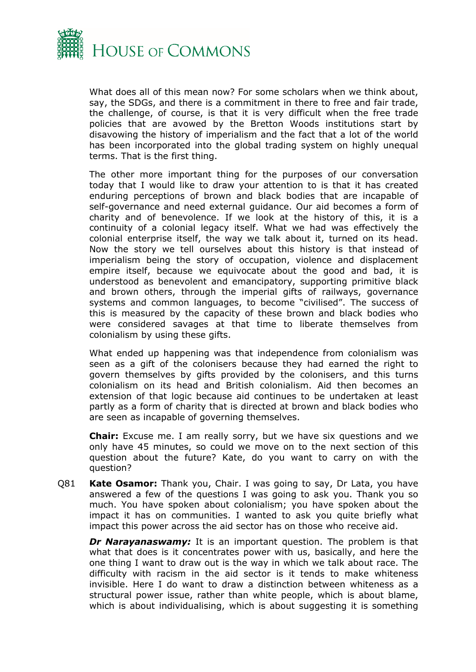

What does all of this mean now? For some scholars when we think about, say, the SDGs, and there is a commitment in there to free and fair trade, the challenge, of course, is that it is very difficult when the free trade policies that are avowed by the Bretton Woods institutions start by disavowing the history of imperialism and the fact that a lot of the world has been incorporated into the global trading system on highly unequal terms. That is the first thing.

The other more important thing for the purposes of our conversation today that I would like to draw your attention to is that it has created enduring perceptions of brown and black bodies that are incapable of self-governance and need external guidance. Our aid becomes a form of charity and of benevolence. If we look at the history of this, it is a continuity of a colonial legacy itself. What we had was effectively the colonial enterprise itself, the way we talk about it, turned on its head. Now the story we tell ourselves about this history is that instead of imperialism being the story of occupation, violence and displacement empire itself, because we equivocate about the good and bad, it is understood as benevolent and emancipatory, supporting primitive black and brown others, through the imperial gifts of railways, governance systems and common languages, to become "civilised". The success of this is measured by the capacity of these brown and black bodies who were considered savages at that time to liberate themselves from colonialism by using these gifts.

What ended up happening was that independence from colonialism was seen as a gift of the colonisers because they had earned the right to govern themselves by gifts provided by the colonisers, and this turns colonialism on its head and British colonialism. Aid then becomes an extension of that logic because aid continues to be undertaken at least partly as a form of charity that is directed at brown and black bodies who are seen as incapable of governing themselves.

**Chair:** Excuse me. I am really sorry, but we have six questions and we only have 45 minutes, so could we move on to the next section of this question about the future? Kate, do you want to carry on with the question?

Q81 **Kate Osamor:** Thank you, Chair. I was going to say, Dr Lata, you have answered a few of the questions I was going to ask you. Thank you so much. You have spoken about colonialism; you have spoken about the impact it has on communities. I wanted to ask you quite briefly what impact this power across the aid sector has on those who receive aid.

*Dr Narayanaswamy:* It is an important question. The problem is that what that does is it concentrates power with us, basically, and here the one thing I want to draw out is the way in which we talk about race. The difficulty with racism in the aid sector is it tends to make whiteness invisible. Here I do want to draw a distinction between whiteness as a structural power issue, rather than white people, which is about blame, which is about individualising, which is about suggesting it is something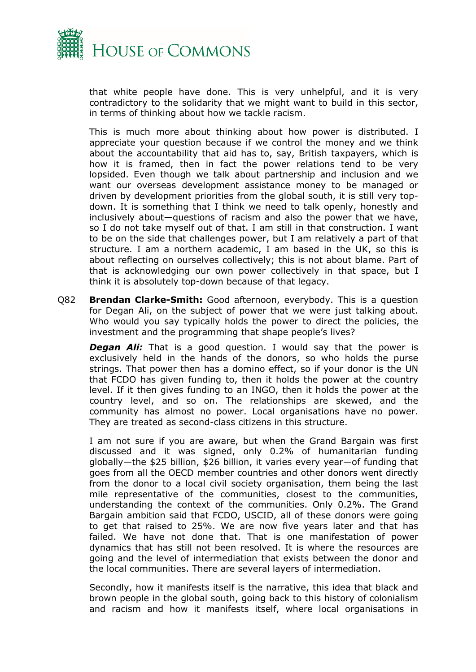

that white people have done. This is very unhelpful, and it is very contradictory to the solidarity that we might want to build in this sector, in terms of thinking about how we tackle racism.

This is much more about thinking about how power is distributed. I appreciate your question because if we control the money and we think about the accountability that aid has to, say, British taxpayers, which is how it is framed, then in fact the power relations tend to be very lopsided. Even though we talk about partnership and inclusion and we want our overseas development assistance money to be managed or driven by development priorities from the global south, it is still very topdown. It is something that I think we need to talk openly, honestly and inclusively about—questions of racism and also the power that we have, so I do not take myself out of that. I am still in that construction. I want to be on the side that challenges power, but I am relatively a part of that structure. I am a northern academic, I am based in the UK, so this is about reflecting on ourselves collectively; this is not about blame. Part of that is acknowledging our own power collectively in that space, but I think it is absolutely top-down because of that legacy.

Q82 **Brendan Clarke-Smith:** Good afternoon, everybody. This is a question for Degan Ali, on the subject of power that we were just talking about. Who would you say typically holds the power to direct the policies, the investment and the programming that shape people's lives?

**Degan Ali:** That is a good question. I would say that the power is exclusively held in the hands of the donors, so who holds the purse strings. That power then has a domino effect, so if your donor is the UN that FCDO has given funding to, then it holds the power at the country level. If it then gives funding to an INGO, then it holds the power at the country level, and so on. The relationships are skewed, and the community has almost no power. Local organisations have no power. They are treated as second-class citizens in this structure.

I am not sure if you are aware, but when the Grand Bargain was first discussed and it was signed, only 0.2% of humanitarian funding globally—the \$25 billion, \$26 billion, it varies every year—of funding that goes from all the OECD member countries and other donors went directly from the donor to a local civil society organisation, them being the last mile representative of the communities, closest to the communities, understanding the context of the communities. Only 0.2%. The Grand Bargain ambition said that FCDO, USCID, all of these donors were going to get that raised to 25%. We are now five years later and that has failed. We have not done that. That is one manifestation of power dynamics that has still not been resolved. It is where the resources are going and the level of intermediation that exists between the donor and the local communities. There are several layers of intermediation.

Secondly, how it manifests itself is the narrative, this idea that black and brown people in the global south, going back to this history of colonialism and racism and how it manifests itself, where local organisations in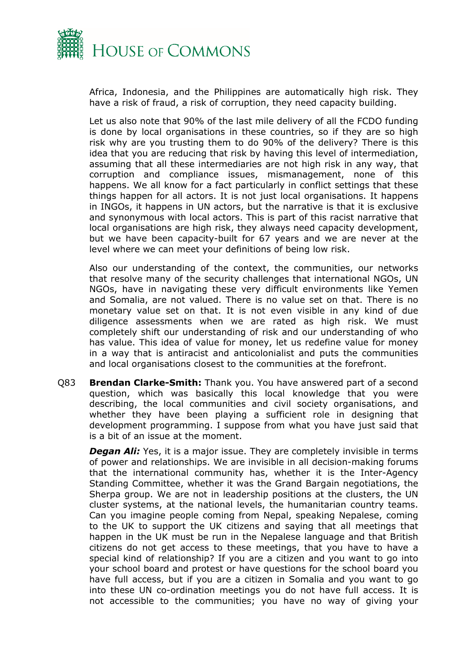

Africa, Indonesia, and the Philippines are automatically high risk. They have a risk of fraud, a risk of corruption, they need capacity building.

Let us also note that 90% of the last mile delivery of all the FCDO funding is done by local organisations in these countries, so if they are so high risk why are you trusting them to do 90% of the delivery? There is this idea that you are reducing that risk by having this level of intermediation, assuming that all these intermediaries are not high risk in any way, that corruption and compliance issues, mismanagement, none of this happens. We all know for a fact particularly in conflict settings that these things happen for all actors. It is not just local organisations. It happens in INGOs, it happens in UN actors, but the narrative is that it is exclusive and synonymous with local actors. This is part of this racist narrative that local organisations are high risk, they always need capacity development, but we have been capacity-built for 67 years and we are never at the level where we can meet your definitions of being low risk.

Also our understanding of the context, the communities, our networks that resolve many of the security challenges that international NGOs, UN NGOs, have in navigating these very difficult environments like Yemen and Somalia, are not valued. There is no value set on that. There is no monetary value set on that. It is not even visible in any kind of due diligence assessments when we are rated as high risk. We must completely shift our understanding of risk and our understanding of who has value. This idea of value for money, let us redefine value for money in a way that is antiracist and anticolonialist and puts the communities and local organisations closest to the communities at the forefront.

Q83 **Brendan Clarke-Smith:** Thank you. You have answered part of a second question, which was basically this local knowledge that you were describing, the local communities and civil society organisations, and whether they have been playing a sufficient role in designing that development programming. I suppose from what you have just said that is a bit of an issue at the moment.

*Degan Ali:* Yes, it is a major issue. They are completely invisible in terms of power and relationships. We are invisible in all decision-making forums that the international community has, whether it is the Inter-Agency Standing Committee, whether it was the Grand Bargain negotiations, the Sherpa group. We are not in leadership positions at the clusters, the UN cluster systems, at the national levels, the humanitarian country teams. Can you imagine people coming from Nepal, speaking Nepalese, coming to the UK to support the UK citizens and saying that all meetings that happen in the UK must be run in the Nepalese language and that British citizens do not get access to these meetings, that you have to have a special kind of relationship? If you are a citizen and you want to go into your school board and protest or have questions for the school board you have full access, but if you are a citizen in Somalia and you want to go into these UN co-ordination meetings you do not have full access. It is not accessible to the communities; you have no way of giving your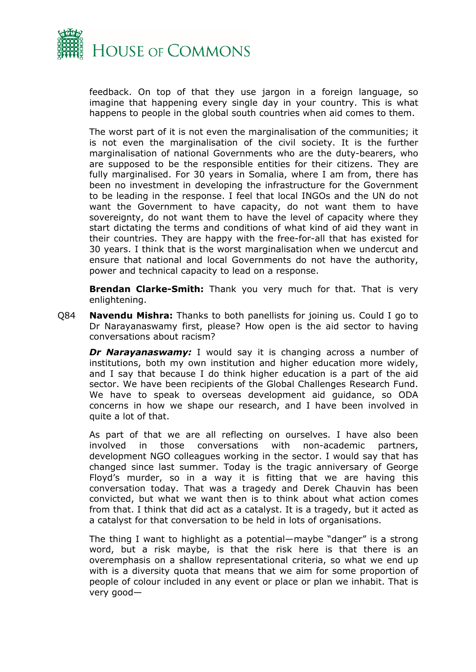

feedback. On top of that they use jargon in a foreign language, so imagine that happening every single day in your country. This is what happens to people in the global south countries when aid comes to them.

The worst part of it is not even the marginalisation of the communities; it is not even the marginalisation of the civil society. It is the further marginalisation of national Governments who are the duty-bearers, who are supposed to be the responsible entities for their citizens. They are fully marginalised. For 30 years in Somalia, where I am from, there has been no investment in developing the infrastructure for the Government to be leading in the response. I feel that local INGOs and the UN do not want the Government to have capacity, do not want them to have sovereignty, do not want them to have the level of capacity where they start dictating the terms and conditions of what kind of aid they want in their countries. They are happy with the free-for-all that has existed for 30 years. I think that is the worst marginalisation when we undercut and ensure that national and local Governments do not have the authority, power and technical capacity to lead on a response.

**Brendan Clarke-Smith:** Thank you very much for that. That is very enlightening.

Q84 **Navendu Mishra:** Thanks to both panellists for joining us. Could I go to Dr Narayanaswamy first, please? How open is the aid sector to having conversations about racism?

**Dr Narayanaswamy:** I would say it is changing across a number of institutions, both my own institution and higher education more widely, and I say that because I do think higher education is a part of the aid sector. We have been recipients of the Global Challenges Research Fund. We have to speak to overseas development aid guidance, so ODA concerns in how we shape our research, and I have been involved in quite a lot of that.

As part of that we are all reflecting on ourselves. I have also been involved in those conversations with non-academic partners, development NGO colleagues working in the sector. I would say that has changed since last summer. Today is the tragic anniversary of George Floyd's murder, so in a way it is fitting that we are having this conversation today. That was a tragedy and Derek Chauvin has been convicted, but what we want then is to think about what action comes from that. I think that did act as a catalyst. It is a tragedy, but it acted as a catalyst for that conversation to be held in lots of organisations.

The thing I want to highlight as a potential—maybe "danger" is a strong word, but a risk maybe, is that the risk here is that there is an overemphasis on a shallow representational criteria, so what we end up with is a diversity quota that means that we aim for some proportion of people of colour included in any event or place or plan we inhabit. That is very good—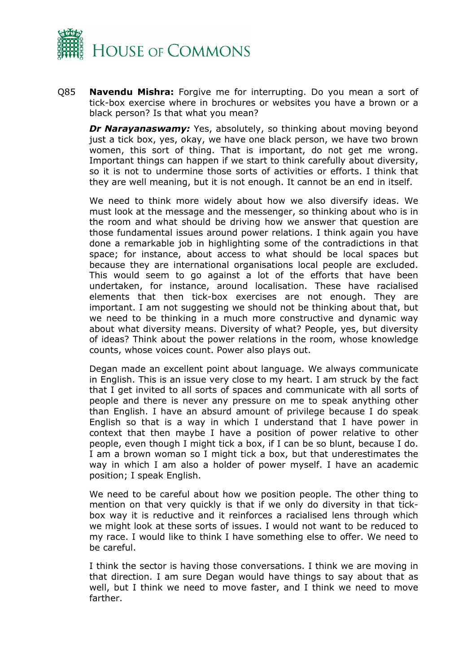

Q85 **Navendu Mishra:** Forgive me for interrupting. Do you mean a sort of tick-box exercise where in brochures or websites you have a brown or a black person? Is that what you mean?

**Dr Narayanaswamy:** Yes, absolutely, so thinking about moving beyond just a tick box, yes, okay, we have one black person, we have two brown women, this sort of thing. That is important, do not get me wrong. Important things can happen if we start to think carefully about diversity, so it is not to undermine those sorts of activities or efforts. I think that they are well meaning, but it is not enough. It cannot be an end in itself.

We need to think more widely about how we also diversify ideas. We must look at the message and the messenger, so thinking about who is in the room and what should be driving how we answer that question are those fundamental issues around power relations. I think again you have done a remarkable job in highlighting some of the contradictions in that space; for instance, about access to what should be local spaces but because they are international organisations local people are excluded. This would seem to go against a lot of the efforts that have been undertaken, for instance, around localisation. These have racialised elements that then tick-box exercises are not enough. They are important. I am not suggesting we should not be thinking about that, but we need to be thinking in a much more constructive and dynamic way about what diversity means. Diversity of what? People, yes, but diversity of ideas? Think about the power relations in the room, whose knowledge counts, whose voices count. Power also plays out.

Degan made an excellent point about language. We always communicate in English. This is an issue very close to my heart. I am struck by the fact that I get invited to all sorts of spaces and communicate with all sorts of people and there is never any pressure on me to speak anything other than English. I have an absurd amount of privilege because I do speak English so that is a way in which I understand that I have power in context that then maybe I have a position of power relative to other people, even though I might tick a box, if I can be so blunt, because I do. I am a brown woman so I might tick a box, but that underestimates the way in which I am also a holder of power myself. I have an academic position; I speak English.

We need to be careful about how we position people. The other thing to mention on that very quickly is that if we only do diversity in that tickbox way it is reductive and it reinforces a racialised lens through which we might look at these sorts of issues. I would not want to be reduced to my race. I would like to think I have something else to offer. We need to be careful.

I think the sector is having those conversations. I think we are moving in that direction. I am sure Degan would have things to say about that as well, but I think we need to move faster, and I think we need to move farther.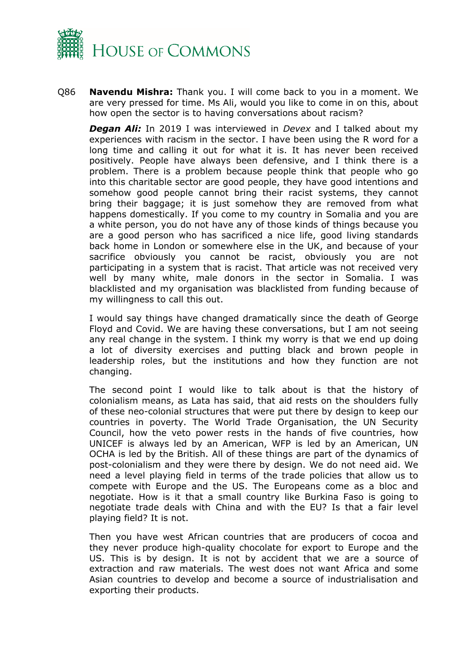

Q86 **Navendu Mishra:** Thank you. I will come back to you in a moment. We are very pressed for time. Ms Ali, would you like to come in on this, about how open the sector is to having conversations about racism?

*Degan Ali:* In 2019 I was interviewed in *Devex* and I talked about my experiences with racism in the sector. I have been using the R word for a long time and calling it out for what it is. It has never been received positively. People have always been defensive, and I think there is a problem. There is a problem because people think that people who go into this charitable sector are good people, they have good intentions and somehow good people cannot bring their racist systems, they cannot bring their baggage; it is just somehow they are removed from what happens domestically. If you come to my country in Somalia and you are a white person, you do not have any of those kinds of things because you are a good person who has sacrificed a nice life, good living standards back home in London or somewhere else in the UK, and because of your sacrifice obviously you cannot be racist, obviously you are not participating in a system that is racist. That article was not received very well by many white, male donors in the sector in Somalia. I was blacklisted and my organisation was blacklisted from funding because of my willingness to call this out.

I would say things have changed dramatically since the death of George Floyd and Covid. We are having these conversations, but I am not seeing any real change in the system. I think my worry is that we end up doing a lot of diversity exercises and putting black and brown people in leadership roles, but the institutions and how they function are not changing.

The second point I would like to talk about is that the history of colonialism means, as Lata has said, that aid rests on the shoulders fully of these neo-colonial structures that were put there by design to keep our countries in poverty. The World Trade Organisation, the UN Security Council, how the veto power rests in the hands of five countries, how UNICEF is always led by an American, WFP is led by an American, UN OCHA is led by the British. All of these things are part of the dynamics of post-colonialism and they were there by design. We do not need aid. We need a level playing field in terms of the trade policies that allow us to compete with Europe and the US. The Europeans come as a bloc and negotiate. How is it that a small country like Burkina Faso is going to negotiate trade deals with China and with the EU? Is that a fair level playing field? It is not.

Then you have west African countries that are producers of cocoa and they never produce high-quality chocolate for export to Europe and the US. This is by design. It is not by accident that we are a source of extraction and raw materials. The west does not want Africa and some Asian countries to develop and become a source of industrialisation and exporting their products.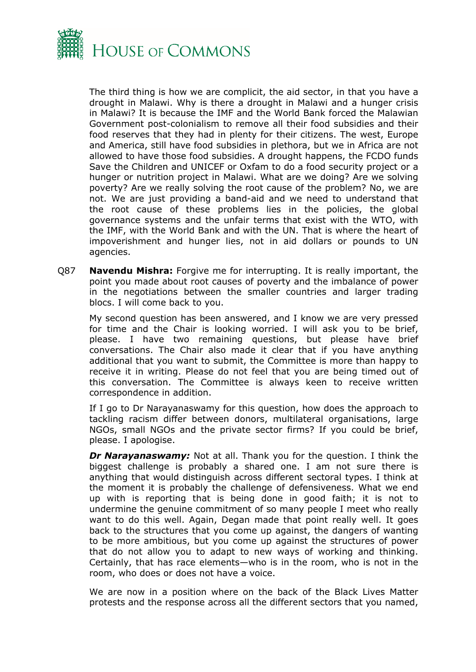

The third thing is how we are complicit, the aid sector, in that you have a drought in Malawi. Why is there a drought in Malawi and a hunger crisis in Malawi? It is because the IMF and the World Bank forced the Malawian Government post-colonialism to remove all their food subsidies and their food reserves that they had in plenty for their citizens. The west, Europe and America, still have food subsidies in plethora, but we in Africa are not allowed to have those food subsidies. A drought happens, the FCDO funds Save the Children and UNICEF or Oxfam to do a food security project or a hunger or nutrition project in Malawi. What are we doing? Are we solving poverty? Are we really solving the root cause of the problem? No, we are not. We are just providing a band-aid and we need to understand that the root cause of these problems lies in the policies, the global governance systems and the unfair terms that exist with the WTO, with the IMF, with the World Bank and with the UN. That is where the heart of impoverishment and hunger lies, not in aid dollars or pounds to UN agencies.

Q87 **Navendu Mishra:** Forgive me for interrupting. It is really important, the point you made about root causes of poverty and the imbalance of power in the negotiations between the smaller countries and larger trading blocs. I will come back to you.

My second question has been answered, and I know we are very pressed for time and the Chair is looking worried. I will ask you to be brief, please. I have two remaining questions, but please have brief conversations. The Chair also made it clear that if you have anything additional that you want to submit, the Committee is more than happy to receive it in writing. Please do not feel that you are being timed out of this conversation. The Committee is always keen to receive written correspondence in addition.

If I go to Dr Narayanaswamy for this question, how does the approach to tackling racism differ between donors, multilateral organisations, large NGOs, small NGOs and the private sector firms? If you could be brief, please. I apologise.

*Dr Narayanaswamy:* Not at all. Thank you for the question. I think the biggest challenge is probably a shared one. I am not sure there is anything that would distinguish across different sectoral types. I think at the moment it is probably the challenge of defensiveness. What we end up with is reporting that is being done in good faith; it is not to undermine the genuine commitment of so many people I meet who really want to do this well. Again, Degan made that point really well. It goes back to the structures that you come up against, the dangers of wanting to be more ambitious, but you come up against the structures of power that do not allow you to adapt to new ways of working and thinking. Certainly, that has race elements—who is in the room, who is not in the room, who does or does not have a voice.

We are now in a position where on the back of the Black Lives Matter protests and the response across all the different sectors that you named,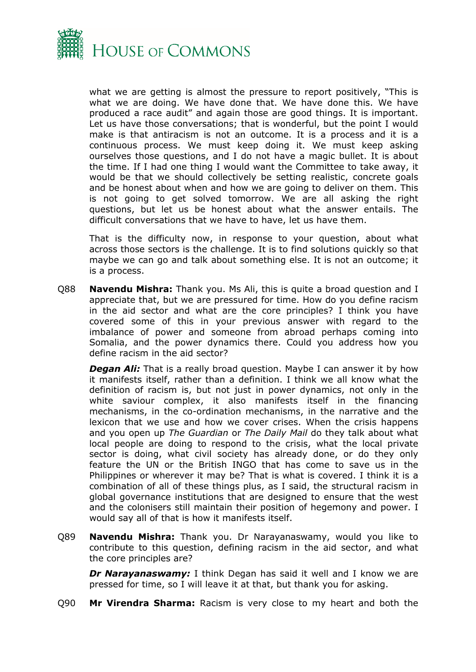

what we are getting is almost the pressure to report positively, "This is what we are doing. We have done that. We have done this. We have produced a race audit" and again those are good things. It is important. Let us have those conversations; that is wonderful, but the point I would make is that antiracism is not an outcome. It is a process and it is a continuous process. We must keep doing it. We must keep asking ourselves those questions, and I do not have a magic bullet. It is about the time. If I had one thing I would want the Committee to take away, it would be that we should collectively be setting realistic, concrete goals and be honest about when and how we are going to deliver on them. This is not going to get solved tomorrow. We are all asking the right questions, but let us be honest about what the answer entails. The difficult conversations that we have to have, let us have them.

That is the difficulty now, in response to your question, about what across those sectors is the challenge. It is to find solutions quickly so that maybe we can go and talk about something else. It is not an outcome; it is a process.

Q88 **Navendu Mishra:** Thank you. Ms Ali, this is quite a broad question and I appreciate that, but we are pressured for time. How do you define racism in the aid sector and what are the core principles? I think you have covered some of this in your previous answer with regard to the imbalance of power and someone from abroad perhaps coming into Somalia, and the power dynamics there. Could you address how you define racism in the aid sector?

*Degan Ali:* That is a really broad question. Maybe I can answer it by how it manifests itself, rather than a definition. I think we all know what the definition of racism is, but not just in power dynamics, not only in the white saviour complex, it also manifests itself in the financing mechanisms, in the co-ordination mechanisms, in the narrative and the lexicon that we use and how we cover crises. When the crisis happens and you open up *The Guardian* or *The Daily Mail* do they talk about what local people are doing to respond to the crisis, what the local private sector is doing, what civil society has already done, or do they only feature the UN or the British INGO that has come to save us in the Philippines or wherever it may be? That is what is covered. I think it is a combination of all of these things plus, as I said, the structural racism in global governance institutions that are designed to ensure that the west and the colonisers still maintain their position of hegemony and power. I would say all of that is how it manifests itself.

Q89 **Navendu Mishra:** Thank you. Dr Narayanaswamy, would you like to contribute to this question, defining racism in the aid sector, and what the core principles are?

*Dr Narayanaswamy:* I think Degan has said it well and I know we are pressed for time, so I will leave it at that, but thank you for asking.

Q90 **Mr Virendra Sharma:** Racism is very close to my heart and both the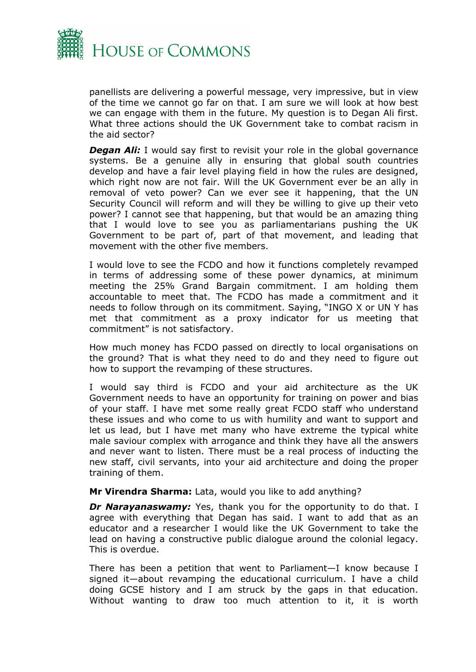

panellists are delivering a powerful message, very impressive, but in view of the time we cannot go far on that. I am sure we will look at how best we can engage with them in the future. My question is to Degan Ali first. What three actions should the UK Government take to combat racism in the aid sector?

*Degan Ali:* I would say first to revisit your role in the global governance systems. Be a genuine ally in ensuring that global south countries develop and have a fair level playing field in how the rules are designed, which right now are not fair. Will the UK Government ever be an ally in removal of veto power? Can we ever see it happening, that the UN Security Council will reform and will they be willing to give up their veto power? I cannot see that happening, but that would be an amazing thing that I would love to see you as parliamentarians pushing the UK Government to be part of, part of that movement, and leading that movement with the other five members.

I would love to see the FCDO and how it functions completely revamped in terms of addressing some of these power dynamics, at minimum meeting the 25% Grand Bargain commitment. I am holding them accountable to meet that. The FCDO has made a commitment and it needs to follow through on its commitment. Saying, "INGO X or UN Y has met that commitment as a proxy indicator for us meeting that commitment" is not satisfactory.

How much money has FCDO passed on directly to local organisations on the ground? That is what they need to do and they need to figure out how to support the revamping of these structures.

I would say third is FCDO and your aid architecture as the UK Government needs to have an opportunity for training on power and bias of your staff. I have met some really great FCDO staff who understand these issues and who come to us with humility and want to support and let us lead, but I have met many who have extreme the typical white male saviour complex with arrogance and think they have all the answers and never want to listen. There must be a real process of inducting the new staff, civil servants, into your aid architecture and doing the proper training of them.

#### **Mr Virendra Sharma:** Lata, would you like to add anything?

*Dr Narayanaswamy:* Yes, thank you for the opportunity to do that. I agree with everything that Degan has said. I want to add that as an educator and a researcher I would like the UK Government to take the lead on having a constructive public dialogue around the colonial legacy. This is overdue.

There has been a petition that went to Parliament—I know because I signed it—about revamping the educational curriculum. I have a child doing GCSE history and I am struck by the gaps in that education. Without wanting to draw too much attention to it, it is worth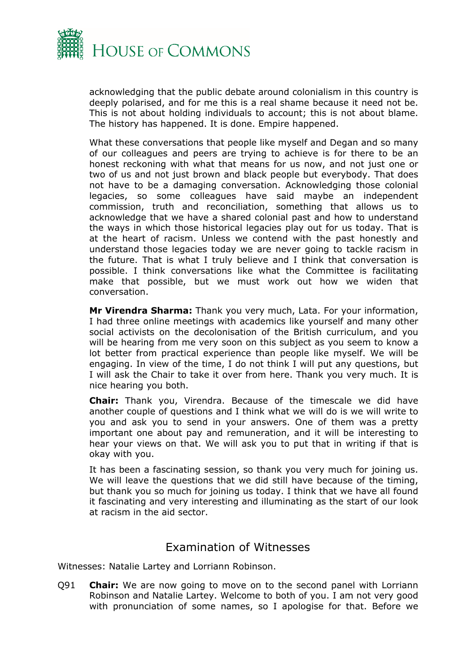

acknowledging that the public debate around colonialism in this country is deeply polarised, and for me this is a real shame because it need not be. This is not about holding individuals to account; this is not about blame. The history has happened. It is done. Empire happened.

What these conversations that people like myself and Degan and so many of our colleagues and peers are trying to achieve is for there to be an honest reckoning with what that means for us now, and not just one or two of us and not just brown and black people but everybody. That does not have to be a damaging conversation. Acknowledging those colonial legacies, so some colleagues have said maybe an independent commission, truth and reconciliation, something that allows us to acknowledge that we have a shared colonial past and how to understand the ways in which those historical legacies play out for us today. That is at the heart of racism. Unless we contend with the past honestly and understand those legacies today we are never going to tackle racism in the future. That is what I truly believe and I think that conversation is possible. I think conversations like what the Committee is facilitating make that possible, but we must work out how we widen that conversation.

**Mr Virendra Sharma:** Thank you very much, Lata. For your information, I had three online meetings with academics like yourself and many other social activists on the decolonisation of the British curriculum, and you will be hearing from me very soon on this subject as you seem to know a lot better from practical experience than people like myself. We will be engaging. In view of the time, I do not think I will put any questions, but I will ask the Chair to take it over from here. Thank you very much. It is nice hearing you both.

**Chair:** Thank you, Virendra. Because of the timescale we did have another couple of questions and I think what we will do is we will write to you and ask you to send in your answers. One of them was a pretty important one about pay and remuneration, and it will be interesting to hear your views on that. We will ask you to put that in writing if that is okay with you.

It has been a fascinating session, so thank you very much for joining us. We will leave the questions that we did still have because of the timing, but thank you so much for joining us today. I think that we have all found it fascinating and very interesting and illuminating as the start of our look at racism in the aid sector.

### <span id="page-12-0"></span>Examination of Witnesses

Witnesses: Natalie Lartey and Lorriann Robinson.

Q91 **Chair:** We are now going to move on to the second panel with Lorriann Robinson and Natalie Lartey. Welcome to both of you. I am not very good with pronunciation of some names, so I apologise for that. Before we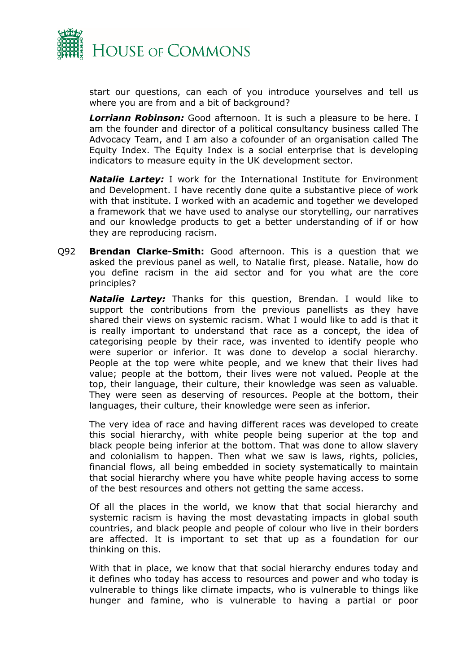

start our questions, can each of you introduce yourselves and tell us where you are from and a bit of background?

*Lorriann Robinson:* Good afternoon. It is such a pleasure to be here. I am the founder and director of a political consultancy business called The Advocacy Team, and I am also a cofounder of an organisation called The Equity Index. The Equity Index is a social enterprise that is developing indicators to measure equity in the UK development sector.

*Natalie Lartey:* I work for the International Institute for Environment and Development. I have recently done quite a substantive piece of work with that institute. I worked with an academic and together we developed a framework that we have used to analyse our storytelling, our narratives and our knowledge products to get a better understanding of if or how they are reproducing racism.

Q92 **Brendan Clarke-Smith:** Good afternoon. This is a question that we asked the previous panel as well, to Natalie first, please. Natalie, how do you define racism in the aid sector and for you what are the core principles?

*Natalie Lartey:* Thanks for this question, Brendan. I would like to support the contributions from the previous panellists as they have shared their views on systemic racism. What I would like to add is that it is really important to understand that race as a concept, the idea of categorising people by their race, was invented to identify people who were superior or inferior. It was done to develop a social hierarchy. People at the top were white people, and we knew that their lives had value; people at the bottom, their lives were not valued. People at the top, their language, their culture, their knowledge was seen as valuable. They were seen as deserving of resources. People at the bottom, their languages, their culture, their knowledge were seen as inferior.

The very idea of race and having different races was developed to create this social hierarchy, with white people being superior at the top and black people being inferior at the bottom. That was done to allow slavery and colonialism to happen. Then what we saw is laws, rights, policies, financial flows, all being embedded in society systematically to maintain that social hierarchy where you have white people having access to some of the best resources and others not getting the same access.

Of all the places in the world, we know that that social hierarchy and systemic racism is having the most devastating impacts in global south countries, and black people and people of colour who live in their borders are affected. It is important to set that up as a foundation for our thinking on this.

With that in place, we know that that social hierarchy endures today and it defines who today has access to resources and power and who today is vulnerable to things like climate impacts, who is vulnerable to things like hunger and famine, who is vulnerable to having a partial or poor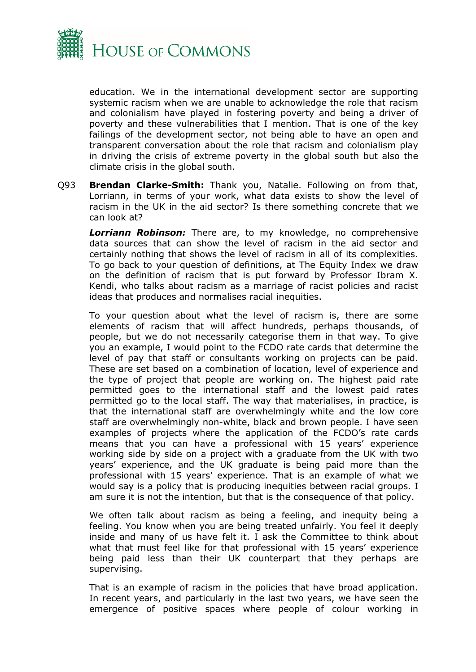

education. We in the international development sector are supporting systemic racism when we are unable to acknowledge the role that racism and colonialism have played in fostering poverty and being a driver of poverty and these vulnerabilities that I mention. That is one of the key failings of the development sector, not being able to have an open and transparent conversation about the role that racism and colonialism play in driving the crisis of extreme poverty in the global south but also the climate crisis in the global south.

Q93 **Brendan Clarke-Smith:** Thank you, Natalie. Following on from that, Lorriann, in terms of your work, what data exists to show the level of racism in the UK in the aid sector? Is there something concrete that we can look at?

*Lorriann Robinson:* There are, to my knowledge, no comprehensive data sources that can show the level of racism in the aid sector and certainly nothing that shows the level of racism in all of its complexities. To go back to your question of definitions, at The Equity Index we draw on the definition of racism that is put forward by Professor Ibram X. Kendi, who talks about racism as a marriage of racist policies and racist ideas that produces and normalises racial inequities.

To your question about what the level of racism is, there are some elements of racism that will affect hundreds, perhaps thousands, of people, but we do not necessarily categorise them in that way. To give you an example, I would point to the FCDO rate cards that determine the level of pay that staff or consultants working on projects can be paid. These are set based on a combination of location, level of experience and the type of project that people are working on. The highest paid rate permitted goes to the international staff and the lowest paid rates permitted go to the local staff. The way that materialises, in practice, is that the international staff are overwhelmingly white and the low core staff are overwhelmingly non-white, black and brown people. I have seen examples of projects where the application of the FCDO's rate cards means that you can have a professional with 15 years' experience working side by side on a project with a graduate from the UK with two years' experience, and the UK graduate is being paid more than the professional with 15 years' experience. That is an example of what we would say is a policy that is producing inequities between racial groups. I am sure it is not the intention, but that is the consequence of that policy.

We often talk about racism as being a feeling, and inequity being a feeling. You know when you are being treated unfairly. You feel it deeply inside and many of us have felt it. I ask the Committee to think about what that must feel like for that professional with 15 years' experience being paid less than their UK counterpart that they perhaps are supervising.

That is an example of racism in the policies that have broad application. In recent years, and particularly in the last two years, we have seen the emergence of positive spaces where people of colour working in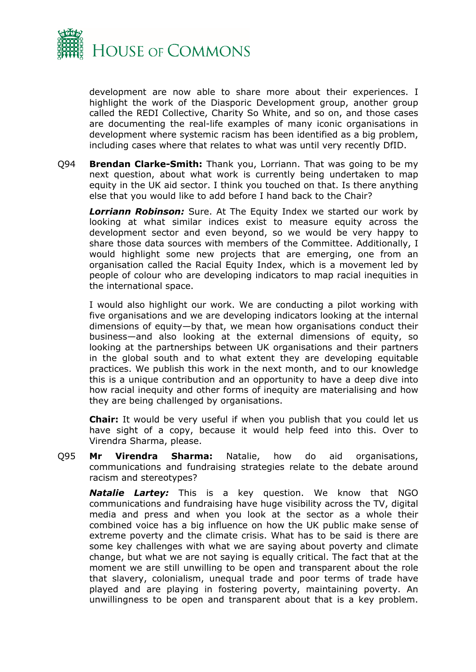

development are now able to share more about their experiences. I highlight the work of the Diasporic Development group, another group called the REDI Collective, Charity So White, and so on, and those cases are documenting the real-life examples of many iconic organisations in development where systemic racism has been identified as a big problem, including cases where that relates to what was until very recently DfID.

Q94 **Brendan Clarke-Smith:** Thank you, Lorriann. That was going to be my next question, about what work is currently being undertaken to map equity in the UK aid sector. I think you touched on that. Is there anything else that you would like to add before I hand back to the Chair?

*Lorriann Robinson:* Sure. At The Equity Index we started our work by looking at what similar indices exist to measure equity across the development sector and even beyond, so we would be very happy to share those data sources with members of the Committee. Additionally, I would highlight some new projects that are emerging, one from an organisation called the Racial Equity Index, which is a movement led by people of colour who are developing indicators to map racial inequities in the international space.

I would also highlight our work. We are conducting a pilot working with five organisations and we are developing indicators looking at the internal dimensions of equity—by that, we mean how organisations conduct their business—and also looking at the external dimensions of equity, so looking at the partnerships between UK organisations and their partners in the global south and to what extent they are developing equitable practices. We publish this work in the next month, and to our knowledge this is a unique contribution and an opportunity to have a deep dive into how racial inequity and other forms of inequity are materialising and how they are being challenged by organisations.

**Chair:** It would be very useful if when you publish that you could let us have sight of a copy, because it would help feed into this. Over to Virendra Sharma, please.

Q95 **Mr Virendra Sharma:** Natalie, how do aid organisations, communications and fundraising strategies relate to the debate around racism and stereotypes?

*Natalie Lartey:* This is a key question. We know that NGO communications and fundraising have huge visibility across the TV, digital media and press and when you look at the sector as a whole their combined voice has a big influence on how the UK public make sense of extreme poverty and the climate crisis. What has to be said is there are some key challenges with what we are saying about poverty and climate change, but what we are not saying is equally critical. The fact that at the moment we are still unwilling to be open and transparent about the role that slavery, colonialism, unequal trade and poor terms of trade have played and are playing in fostering poverty, maintaining poverty. An unwillingness to be open and transparent about that is a key problem.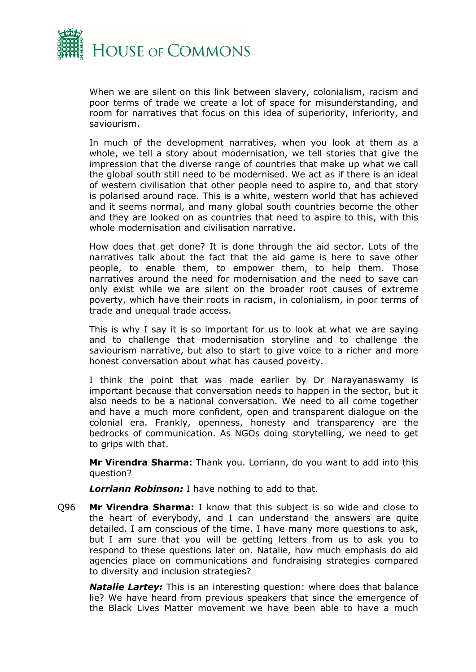

When we are silent on this link between slavery, colonialism, racism and poor terms of trade we create a lot of space for misunderstanding, and room for narratives that focus on this idea of superiority, inferiority, and saviourism.

In much of the development narratives, when you look at them as a whole, we tell a story about modernisation, we tell stories that give the impression that the diverse range of countries that make up what we call the global south still need to be modernised. We act as if there is an ideal of western civilisation that other people need to aspire to, and that story is polarised around race. This is a white, western world that has achieved and it seems normal, and many global south countries become the other and they are looked on as countries that need to aspire to this, with this whole modernisation and civilisation narrative.

How does that get done? It is done through the aid sector. Lots of the narratives talk about the fact that the aid game is here to save other people, to enable them, to empower them, to help them. Those narratives around the need for modernisation and the need to save can only exist while we are silent on the broader root causes of extreme poverty, which have their roots in racism, in colonialism, in poor terms of trade and unequal trade access.

This is why I say it is so important for us to look at what we are saying and to challenge that modernisation storyline and to challenge the saviourism narrative, but also to start to give voice to a richer and more honest conversation about what has caused poverty.

I think the point that was made earlier by Dr Narayanaswamy is important because that conversation needs to happen in the sector, but it also needs to be a national conversation. We need to all come together and have a much more confident, open and transparent dialogue on the colonial era. Frankly, openness, honesty and transparency are the bedrocks of communication. As NGOs doing storytelling, we need to get to grips with that.

**Mr Virendra Sharma:** Thank you. Lorriann, do you want to add into this question?

*Lorriann Robinson:* I have nothing to add to that.

Q96 **Mr Virendra Sharma:** I know that this subject is so wide and close to the heart of everybody, and I can understand the answers are quite detailed. I am conscious of the time. I have many more questions to ask, but I am sure that you will be getting letters from us to ask you to respond to these questions later on. Natalie, how much emphasis do aid agencies place on communications and fundraising strategies compared to diversity and inclusion strategies?

*Natalie Lartey:* This is an interesting question: where does that balance lie? We have heard from previous speakers that since the emergence of the Black Lives Matter movement we have been able to have a much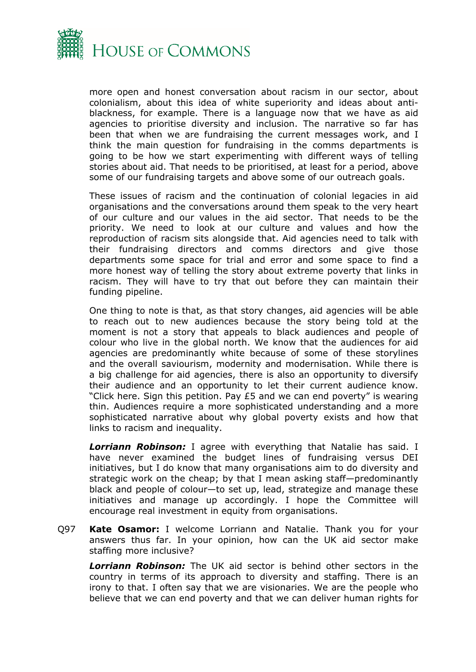

more open and honest conversation about racism in our sector, about colonialism, about this idea of white superiority and ideas about antiblackness, for example. There is a language now that we have as aid agencies to prioritise diversity and inclusion. The narrative so far has been that when we are fundraising the current messages work, and I think the main question for fundraising in the comms departments is going to be how we start experimenting with different ways of telling stories about aid. That needs to be prioritised, at least for a period, above some of our fundraising targets and above some of our outreach goals.

These issues of racism and the continuation of colonial legacies in aid organisations and the conversations around them speak to the very heart of our culture and our values in the aid sector. That needs to be the priority. We need to look at our culture and values and how the reproduction of racism sits alongside that. Aid agencies need to talk with their fundraising directors and comms directors and give those departments some space for trial and error and some space to find a more honest way of telling the story about extreme poverty that links in racism. They will have to try that out before they can maintain their funding pipeline.

One thing to note is that, as that story changes, aid agencies will be able to reach out to new audiences because the story being told at the moment is not a story that appeals to black audiences and people of colour who live in the global north. We know that the audiences for aid agencies are predominantly white because of some of these storylines and the overall saviourism, modernity and modernisation. While there is a big challenge for aid agencies, there is also an opportunity to diversify their audience and an opportunity to let their current audience know. "Click here. Sign this petition. Pay £5 and we can end poverty" is wearing thin. Audiences require a more sophisticated understanding and a more sophisticated narrative about why global poverty exists and how that links to racism and inequality.

*Lorriann Robinson:* I agree with everything that Natalie has said. I have never examined the budget lines of fundraising versus DEI initiatives, but I do know that many organisations aim to do diversity and strategic work on the cheap; by that I mean asking staff—predominantly black and people of colour—to set up, lead, strategize and manage these initiatives and manage up accordingly. I hope the Committee will encourage real investment in equity from organisations.

Q97 **Kate Osamor:** I welcome Lorriann and Natalie. Thank you for your answers thus far. In your opinion, how can the UK aid sector make staffing more inclusive?

*Lorriann Robinson:* The UK aid sector is behind other sectors in the country in terms of its approach to diversity and staffing. There is an irony to that. I often say that we are visionaries. We are the people who believe that we can end poverty and that we can deliver human rights for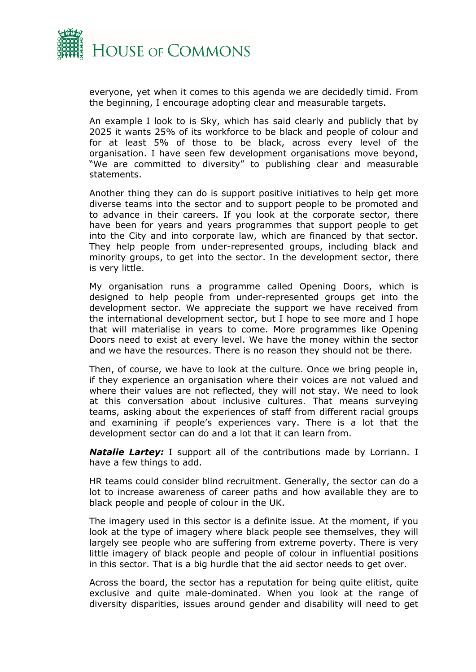

everyone, yet when it comes to this agenda we are decidedly timid. From the beginning, I encourage adopting clear and measurable targets.

An example I look to is Sky, which has said clearly and publicly that by 2025 it wants 25% of its workforce to be black and people of colour and for at least 5% of those to be black, across every level of the organisation. I have seen few development organisations move beyond, "We are committed to diversity" to publishing clear and measurable statements.

Another thing they can do is support positive initiatives to help get more diverse teams into the sector and to support people to be promoted and to advance in their careers. If you look at the corporate sector, there have been for years and years programmes that support people to get into the City and into corporate law, which are financed by that sector. They help people from under-represented groups, including black and minority groups, to get into the sector. In the development sector, there is very little.

My organisation runs a programme called Opening Doors, which is designed to help people from under-represented groups get into the development sector. We appreciate the support we have received from the international development sector, but I hope to see more and I hope that will materialise in years to come. More programmes like Opening Doors need to exist at every level. We have the money within the sector and we have the resources. There is no reason they should not be there.

Then, of course, we have to look at the culture. Once we bring people in, if they experience an organisation where their voices are not valued and where their values are not reflected, they will not stay. We need to look at this conversation about inclusive cultures. That means surveying teams, asking about the experiences of staff from different racial groups and examining if people's experiences vary. There is a lot that the development sector can do and a lot that it can learn from.

*Natalie Lartey:* I support all of the contributions made by Lorriann. I have a few things to add.

HR teams could consider blind recruitment. Generally, the sector can do a lot to increase awareness of career paths and how available they are to black people and people of colour in the UK.

The imagery used in this sector is a definite issue. At the moment, if you look at the type of imagery where black people see themselves, they will largely see people who are suffering from extreme poverty. There is very little imagery of black people and people of colour in influential positions in this sector. That is a big hurdle that the aid sector needs to get over.

Across the board, the sector has a reputation for being quite elitist, quite exclusive and quite male-dominated. When you look at the range of diversity disparities, issues around gender and disability will need to get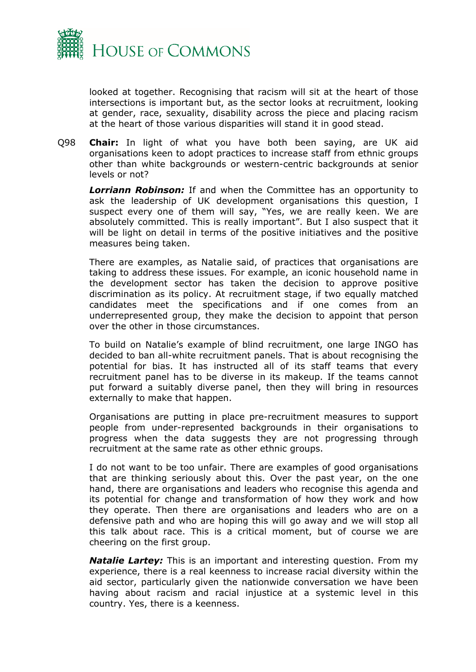

looked at together. Recognising that racism will sit at the heart of those intersections is important but, as the sector looks at recruitment, looking at gender, race, sexuality, disability across the piece and placing racism at the heart of those various disparities will stand it in good stead.

Q98 **Chair:** In light of what you have both been saying, are UK aid organisations keen to adopt practices to increase staff from ethnic groups other than white backgrounds or western-centric backgrounds at senior levels or not?

*Lorriann Robinson:* If and when the Committee has an opportunity to ask the leadership of UK development organisations this question, I suspect every one of them will say, "Yes, we are really keen. We are absolutely committed. This is really important". But I also suspect that it will be light on detail in terms of the positive initiatives and the positive measures being taken.

There are examples, as Natalie said, of practices that organisations are taking to address these issues. For example, an iconic household name in the development sector has taken the decision to approve positive discrimination as its policy. At recruitment stage, if two equally matched candidates meet the specifications and if one comes from an underrepresented group, they make the decision to appoint that person over the other in those circumstances.

To build on Natalie's example of blind recruitment, one large INGO has decided to ban all-white recruitment panels. That is about recognising the potential for bias. It has instructed all of its staff teams that every recruitment panel has to be diverse in its makeup. If the teams cannot put forward a suitably diverse panel, then they will bring in resources externally to make that happen.

Organisations are putting in place pre-recruitment measures to support people from under-represented backgrounds in their organisations to progress when the data suggests they are not progressing through recruitment at the same rate as other ethnic groups.

I do not want to be too unfair. There are examples of good organisations that are thinking seriously about this. Over the past year, on the one hand, there are organisations and leaders who recognise this agenda and its potential for change and transformation of how they work and how they operate. Then there are organisations and leaders who are on a defensive path and who are hoping this will go away and we will stop all this talk about race. This is a critical moment, but of course we are cheering on the first group.

*Natalie Lartey:* This is an important and interesting question. From my experience, there is a real keenness to increase racial diversity within the aid sector, particularly given the nationwide conversation we have been having about racism and racial injustice at a systemic level in this country. Yes, there is a keenness.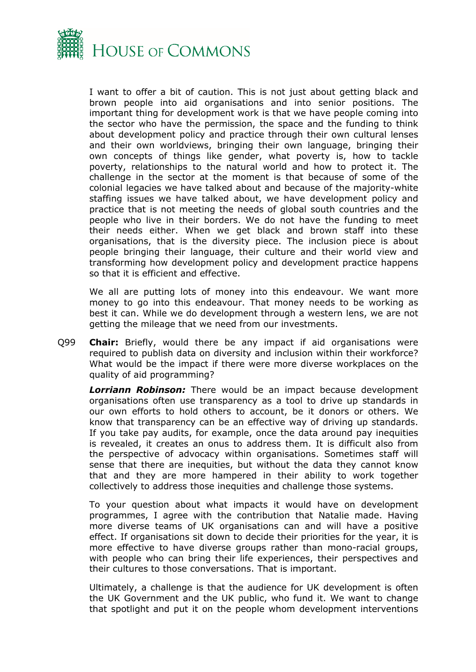

I want to offer a bit of caution. This is not just about getting black and brown people into aid organisations and into senior positions. The important thing for development work is that we have people coming into the sector who have the permission, the space and the funding to think about development policy and practice through their own cultural lenses and their own worldviews, bringing their own language, bringing their own concepts of things like gender, what poverty is, how to tackle poverty, relationships to the natural world and how to protect it. The challenge in the sector at the moment is that because of some of the colonial legacies we have talked about and because of the majority-white staffing issues we have talked about, we have development policy and practice that is not meeting the needs of global south countries and the people who live in their borders. We do not have the funding to meet their needs either. When we get black and brown staff into these organisations, that is the diversity piece. The inclusion piece is about people bringing their language, their culture and their world view and transforming how development policy and development practice happens so that it is efficient and effective.

We all are putting lots of money into this endeavour. We want more money to go into this endeavour. That money needs to be working as best it can. While we do development through a western lens, we are not getting the mileage that we need from our investments.

Q99 **Chair:** Briefly, would there be any impact if aid organisations were required to publish data on diversity and inclusion within their workforce? What would be the impact if there were more diverse workplaces on the quality of aid programming?

*Lorriann Robinson:* There would be an impact because development organisations often use transparency as a tool to drive up standards in our own efforts to hold others to account, be it donors or others. We know that transparency can be an effective way of driving up standards. If you take pay audits, for example, once the data around pay inequities is revealed, it creates an onus to address them. It is difficult also from the perspective of advocacy within organisations. Sometimes staff will sense that there are inequities, but without the data they cannot know that and they are more hampered in their ability to work together collectively to address those inequities and challenge those systems.

To your question about what impacts it would have on development programmes, I agree with the contribution that Natalie made. Having more diverse teams of UK organisations can and will have a positive effect. If organisations sit down to decide their priorities for the year, it is more effective to have diverse groups rather than mono-racial groups, with people who can bring their life experiences, their perspectives and their cultures to those conversations. That is important.

Ultimately, a challenge is that the audience for UK development is often the UK Government and the UK public, who fund it. We want to change that spotlight and put it on the people whom development interventions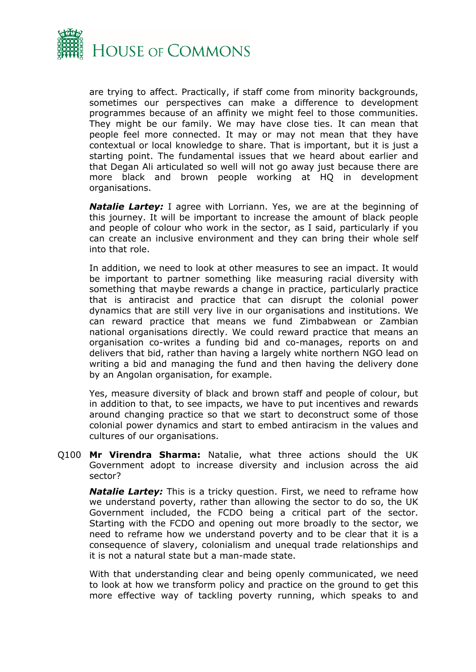

are trying to affect. Practically, if staff come from minority backgrounds, sometimes our perspectives can make a difference to development programmes because of an affinity we might feel to those communities. They might be our family. We may have close ties. It can mean that people feel more connected. It may or may not mean that they have contextual or local knowledge to share. That is important, but it is just a starting point. The fundamental issues that we heard about earlier and that Degan Ali articulated so well will not go away just because there are more black and brown people working at HQ in development organisations.

*Natalie Lartey:* I agree with Lorriann. Yes, we are at the beginning of this journey. It will be important to increase the amount of black people and people of colour who work in the sector, as I said, particularly if you can create an inclusive environment and they can bring their whole self into that role.

In addition, we need to look at other measures to see an impact. It would be important to partner something like measuring racial diversity with something that maybe rewards a change in practice, particularly practice that is antiracist and practice that can disrupt the colonial power dynamics that are still very live in our organisations and institutions. We can reward practice that means we fund Zimbabwean or Zambian national organisations directly. We could reward practice that means an organisation co-writes a funding bid and co-manages, reports on and delivers that bid, rather than having a largely white northern NGO lead on writing a bid and managing the fund and then having the delivery done by an Angolan organisation, for example.

Yes, measure diversity of black and brown staff and people of colour, but in addition to that, to see impacts, we have to put incentives and rewards around changing practice so that we start to deconstruct some of those colonial power dynamics and start to embed antiracism in the values and cultures of our organisations.

Q100 **Mr Virendra Sharma:** Natalie, what three actions should the UK Government adopt to increase diversity and inclusion across the aid sector?

*Natalie Lartey:* This is a tricky question. First, we need to reframe how we understand poverty, rather than allowing the sector to do so, the UK Government included, the FCDO being a critical part of the sector. Starting with the FCDO and opening out more broadly to the sector, we need to reframe how we understand poverty and to be clear that it is a consequence of slavery, colonialism and unequal trade relationships and it is not a natural state but a man-made state.

With that understanding clear and being openly communicated, we need to look at how we transform policy and practice on the ground to get this more effective way of tackling poverty running, which speaks to and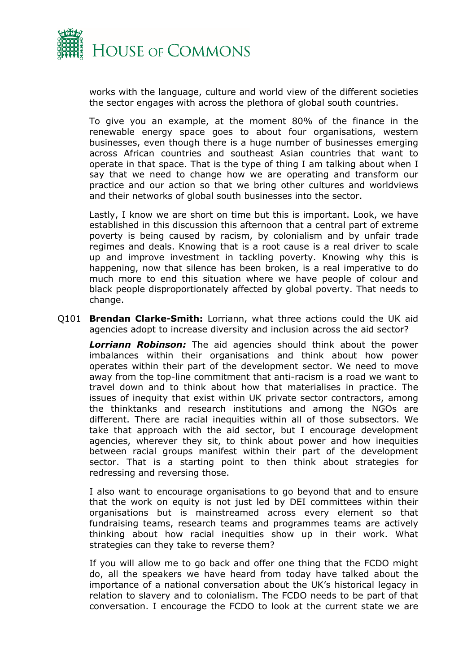

works with the language, culture and world view of the different societies the sector engages with across the plethora of global south countries.

To give you an example, at the moment 80% of the finance in the renewable energy space goes to about four organisations, western businesses, even though there is a huge number of businesses emerging across African countries and southeast Asian countries that want to operate in that space. That is the type of thing I am talking about when I say that we need to change how we are operating and transform our practice and our action so that we bring other cultures and worldviews and their networks of global south businesses into the sector.

Lastly, I know we are short on time but this is important. Look, we have established in this discussion this afternoon that a central part of extreme poverty is being caused by racism, by colonialism and by unfair trade regimes and deals. Knowing that is a root cause is a real driver to scale up and improve investment in tackling poverty. Knowing why this is happening, now that silence has been broken, is a real imperative to do much more to end this situation where we have people of colour and black people disproportionately affected by global poverty. That needs to change.

Q101 **Brendan Clarke-Smith:** Lorriann, what three actions could the UK aid agencies adopt to increase diversity and inclusion across the aid sector?

*Lorriann Robinson:* The aid agencies should think about the power imbalances within their organisations and think about how power operates within their part of the development sector. We need to move away from the top-line commitment that anti-racism is a road we want to travel down and to think about how that materialises in practice. The issues of inequity that exist within UK private sector contractors, among the thinktanks and research institutions and among the NGOs are different. There are racial inequities within all of those subsectors. We take that approach with the aid sector, but I encourage development agencies, wherever they sit, to think about power and how inequities between racial groups manifest within their part of the development sector. That is a starting point to then think about strategies for redressing and reversing those.

I also want to encourage organisations to go beyond that and to ensure that the work on equity is not just led by DEI committees within their organisations but is mainstreamed across every element so that fundraising teams, research teams and programmes teams are actively thinking about how racial inequities show up in their work. What strategies can they take to reverse them?

If you will allow me to go back and offer one thing that the FCDO might do, all the speakers we have heard from today have talked about the importance of a national conversation about the UK's historical legacy in relation to slavery and to colonialism. The FCDO needs to be part of that conversation. I encourage the FCDO to look at the current state we are